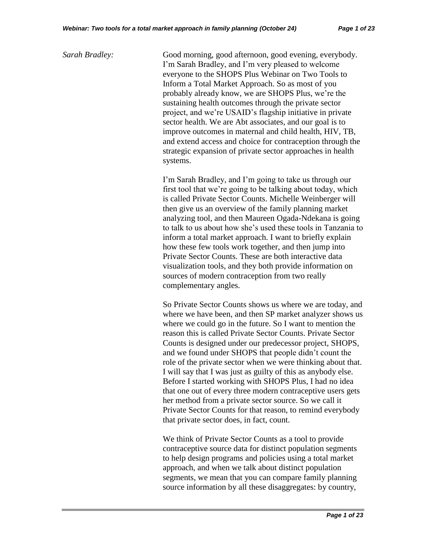*Sarah Bradley:* Good morning, good afternoon, good evening, everybody. I'm Sarah Bradley, and I'm very pleased to welcome everyone to the SHOPS Plus Webinar on Two Tools to Inform a Total Market Approach. So as most of you probably already know, we are SHOPS Plus, we're the sustaining health outcomes through the private sector project, and we're USAID's flagship initiative in private sector health. We are Abt associates, and our goal is to improve outcomes in maternal and child health, HIV, TB, and extend access and choice for contraception through the strategic expansion of private sector approaches in health systems.

> I'm Sarah Bradley, and I'm going to take us through our first tool that we're going to be talking about today, which is called Private Sector Counts. Michelle Weinberger will then give us an overview of the family planning market analyzing tool, and then Maureen Ogada-Ndekana is going to talk to us about how she's used these tools in Tanzania to inform a total market approach. I want to briefly explain how these few tools work together, and then jump into Private Sector Counts. These are both interactive data visualization tools, and they both provide information on sources of modern contraception from two really complementary angles.

> So Private Sector Counts shows us where we are today, and where we have been, and then SP market analyzer shows us where we could go in the future. So I want to mention the reason this is called Private Sector Counts. Private Sector Counts is designed under our predecessor project, SHOPS, and we found under SHOPS that people didn't count the role of the private sector when we were thinking about that. I will say that I was just as guilty of this as anybody else. Before I started working with SHOPS Plus, I had no idea that one out of every three modern contraceptive users gets her method from a private sector source. So we call it Private Sector Counts for that reason, to remind everybody that private sector does, in fact, count.

We think of Private Sector Counts as a tool to provide contraceptive source data for distinct population segments to help design programs and policies using a total market approach, and when we talk about distinct population segments, we mean that you can compare family planning source information by all these disaggregates: by country,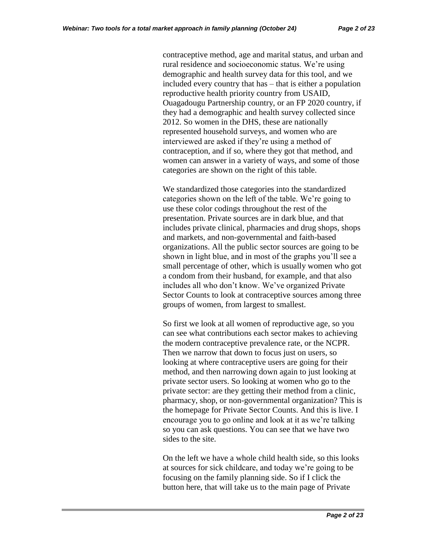contraceptive method, age and marital status, and urban and rural residence and socioeconomic status. We're using demographic and health survey data for this tool, and we included every country that has – that is either a population reproductive health priority country from USAID, Ouagadougu Partnership country, or an FP 2020 country, if they had a demographic and health survey collected since 2012. So women in the DHS, these are nationally represented household surveys, and women who are interviewed are asked if they're using a method of contraception, and if so, where they got that method, and women can answer in a variety of ways, and some of those categories are shown on the right of this table.

We standardized those categories into the standardized categories shown on the left of the table. We're going to use these color codings throughout the rest of the presentation. Private sources are in dark blue, and that includes private clinical, pharmacies and drug shops, shops and markets, and non-governmental and faith-based organizations. All the public sector sources are going to be shown in light blue, and in most of the graphs you'll see a small percentage of other, which is usually women who got a condom from their husband, for example, and that also includes all who don't know. We've organized Private Sector Counts to look at contraceptive sources among three groups of women, from largest to smallest.

So first we look at all women of reproductive age, so you can see what contributions each sector makes to achieving the modern contraceptive prevalence rate, or the NCPR. Then we narrow that down to focus just on users, so looking at where contraceptive users are going for their method, and then narrowing down again to just looking at private sector users. So looking at women who go to the private sector: are they getting their method from a clinic, pharmacy, shop, or non-governmental organization? This is the homepage for Private Sector Counts. And this is live. I encourage you to go online and look at it as we're talking so you can ask questions. You can see that we have two sides to the site.

On the left we have a whole child health side, so this looks at sources for sick childcare, and today we're going to be focusing on the family planning side. So if I click the button here, that will take us to the main page of Private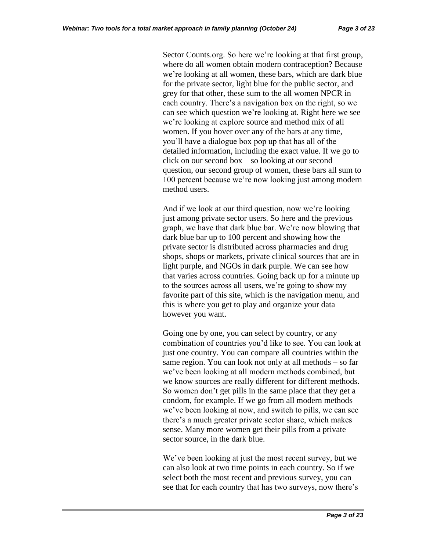Sector Counts.org. So here we're looking at that first group, where do all women obtain modern contraception? Because we're looking at all women, these bars, which are dark blue for the private sector, light blue for the public sector, and grey for that other, these sum to the all women NPCR in each country. There's a navigation box on the right, so we can see which question we're looking at. Right here we see we're looking at explore source and method mix of all women. If you hover over any of the bars at any time, you'll have a dialogue box pop up that has all of the detailed information, including the exact value. If we go to click on our second box – so looking at our second question, our second group of women, these bars all sum to 100 percent because we're now looking just among modern method users.

And if we look at our third question, now we're looking just among private sector users. So here and the previous graph, we have that dark blue bar. We're now blowing that dark blue bar up to 100 percent and showing how the private sector is distributed across pharmacies and drug shops, shops or markets, private clinical sources that are in light purple, and NGOs in dark purple. We can see how that varies across countries. Going back up for a minute up to the sources across all users, we're going to show my favorite part of this site, which is the navigation menu, and this is where you get to play and organize your data however you want.

Going one by one, you can select by country, or any combination of countries you'd like to see. You can look at just one country. You can compare all countries within the same region. You can look not only at all methods – so far we've been looking at all modern methods combined, but we know sources are really different for different methods. So women don't get pills in the same place that they get a condom, for example. If we go from all modern methods we've been looking at now, and switch to pills, we can see there's a much greater private sector share, which makes sense. Many more women get their pills from a private sector source, in the dark blue.

We've been looking at just the most recent survey, but we can also look at two time points in each country. So if we select both the most recent and previous survey, you can see that for each country that has two surveys, now there's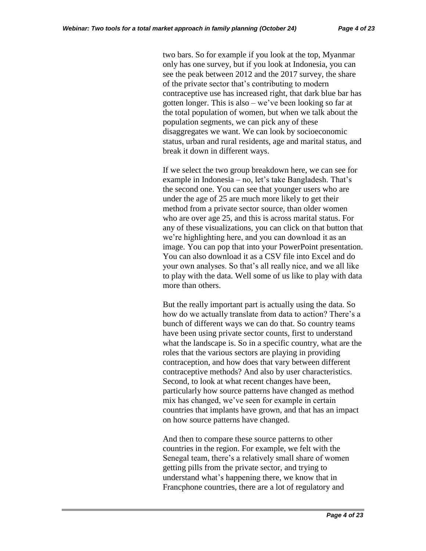two bars. So for example if you look at the top, Myanmar only has one survey, but if you look at Indonesia, you can see the peak between 2012 and the 2017 survey, the share of the private sector that's contributing to modern contraceptive use has increased right, that dark blue bar has gotten longer. This is also – we've been looking so far at the total population of women, but when we talk about the population segments, we can pick any of these disaggregates we want. We can look by socioeconomic status, urban and rural residents, age and marital status, and break it down in different ways.

If we select the two group breakdown here, we can see for example in Indonesia – no, let's take Bangladesh. That's the second one. You can see that younger users who are under the age of 25 are much more likely to get their method from a private sector source, than older women who are over age 25, and this is across marital status. For any of these visualizations, you can click on that button that we're highlighting here, and you can download it as an image. You can pop that into your PowerPoint presentation. You can also download it as a CSV file into Excel and do your own analyses. So that's all really nice, and we all like to play with the data. Well some of us like to play with data more than others.

But the really important part is actually using the data. So how do we actually translate from data to action? There's a bunch of different ways we can do that. So country teams have been using private sector counts, first to understand what the landscape is. So in a specific country, what are the roles that the various sectors are playing in providing contraception, and how does that vary between different contraceptive methods? And also by user characteristics. Second, to look at what recent changes have been, particularly how source patterns have changed as method mix has changed, we've seen for example in certain countries that implants have grown, and that has an impact on how source patterns have changed.

And then to compare these source patterns to other countries in the region. For example, we felt with the Senegal team, there's a relatively small share of women getting pills from the private sector, and trying to understand what's happening there, we know that in Francphone countries, there are a lot of regulatory and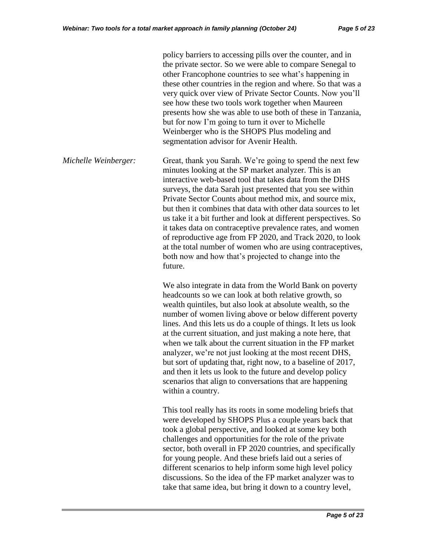|                      | policy barriers to accessing pills over the counter, and in<br>the private sector. So we were able to compare Senegal to<br>other Francophone countries to see what's happening in<br>these other countries in the region and where. So that was a<br>very quick over view of Private Sector Counts. Now you'll<br>see how these two tools work together when Maureen<br>presents how she was able to use both of these in Tanzania,<br>but for now I'm going to turn it over to Michelle<br>Weinberger who is the SHOPS Plus modeling and<br>segmentation advisor for Avenir Health.                                                                                                                              |
|----------------------|--------------------------------------------------------------------------------------------------------------------------------------------------------------------------------------------------------------------------------------------------------------------------------------------------------------------------------------------------------------------------------------------------------------------------------------------------------------------------------------------------------------------------------------------------------------------------------------------------------------------------------------------------------------------------------------------------------------------|
| Michelle Weinberger: | Great, thank you Sarah. We're going to spend the next few<br>minutes looking at the SP market analyzer. This is an<br>interactive web-based tool that takes data from the DHS<br>surveys, the data Sarah just presented that you see within<br>Private Sector Counts about method mix, and source mix,<br>but then it combines that data with other data sources to let<br>us take it a bit further and look at different perspectives. So<br>it takes data on contraceptive prevalence rates, and women<br>of reproductive age from FP 2020, and Track 2020, to look<br>at the total number of women who are using contraceptives,<br>both now and how that's projected to change into the<br>future.             |
|                      | We also integrate in data from the World Bank on poverty<br>headcounts so we can look at both relative growth, so<br>wealth quintiles, but also look at absolute wealth, so the<br>number of women living above or below different poverty<br>lines. And this lets us do a couple of things. It lets us look<br>at the current situation, and just making a note here, that<br>when we talk about the current situation in the FP market<br>analyzer, we're not just looking at the most recent DHS,<br>but sort of updating that, right now, to a baseline of 2017,<br>and then it lets us look to the future and develop policy<br>scenarios that align to conversations that are happening<br>within a country. |
|                      | This tool really has its roots in some modeling briefs that<br>were developed by SHOPS Plus a couple years back that<br>took a global perspective, and looked at some key both<br>challenges and opportunities for the role of the private<br>sector, both overall in FP 2020 countries, and specifically<br>for young people. And these briefs laid out a series of<br>different scenarios to help inform some high level policy<br>discussions. So the idea of the FP market analyzer was to<br>take that same idea, but bring it down to a country level,                                                                                                                                                       |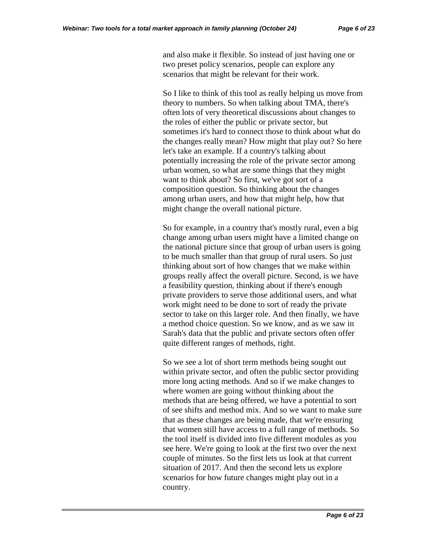and also make it flexible. So instead of just having one or two preset policy scenarios, people can explore any scenarios that might be relevant for their work.

So I like to think of this tool as really helping us move from theory to numbers. So when talking about TMA, there's often lots of very theoretical discussions about changes to the roles of either the public or private sector, but sometimes it's hard to connect those to think about what do the changes really mean? How might that play out? So here let's take an example. If a country's talking about potentially increasing the role of the private sector among urban women, so what are some things that they might want to think about? So first, we've got sort of a composition question. So thinking about the changes among urban users, and how that might help, how that might change the overall national picture.

So for example, in a country that's mostly rural, even a big change among urban users might have a limited change on the national picture since that group of urban users is going to be much smaller than that group of rural users. So just thinking about sort of how changes that we make within groups really affect the overall picture. Second, is we have a feasibility question, thinking about if there's enough private providers to serve those additional users, and what work might need to be done to sort of ready the private sector to take on this larger role. And then finally, we have a method choice question. So we know, and as we saw in Sarah's data that the public and private sectors often offer quite different ranges of methods, right.

So we see a lot of short term methods being sought out within private sector, and often the public sector providing more long acting methods. And so if we make changes to where women are going without thinking about the methods that are being offered, we have a potential to sort of see shifts and method mix. And so we want to make sure that as these changes are being made, that we're ensuring that women still have access to a full range of methods. So the tool itself is divided into five different modules as you see here. We're going to look at the first two over the next couple of minutes. So the first lets us look at that current situation of 2017. And then the second lets us explore scenarios for how future changes might play out in a country.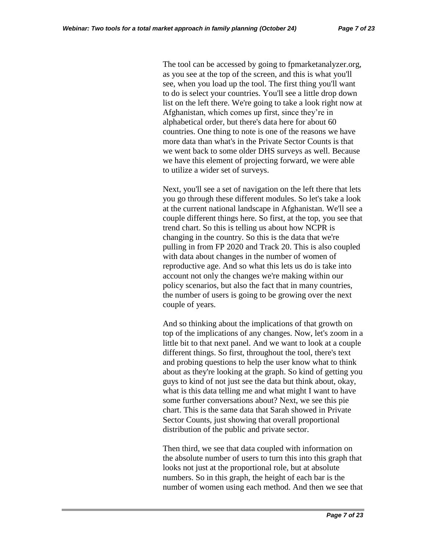The tool can be accessed by going to fpmarketanalyzer.org, as you see at the top of the screen, and this is what you'll see, when you load up the tool. The first thing you'll want to do is select your countries. You'll see a little drop down list on the left there. We're going to take a look right now at Afghanistan, which comes up first, since they're in alphabetical order, but there's data here for about 60 countries. One thing to note is one of the reasons we have more data than what's in the Private Sector Counts is that we went back to some older DHS surveys as well. Because we have this element of projecting forward, we were able to utilize a wider set of surveys.

Next, you'll see a set of navigation on the left there that lets you go through these different modules. So let's take a look at the current national landscape in Afghanistan. We'll see a couple different things here. So first, at the top, you see that trend chart. So this is telling us about how NCPR is changing in the country. So this is the data that we're pulling in from FP 2020 and Track 20. This is also coupled with data about changes in the number of women of reproductive age. And so what this lets us do is take into account not only the changes we're making within our policy scenarios, but also the fact that in many countries, the number of users is going to be growing over the next couple of years.

And so thinking about the implications of that growth on top of the implications of any changes. Now, let's zoom in a little bit to that next panel. And we want to look at a couple different things. So first, throughout the tool, there's text and probing questions to help the user know what to think about as they're looking at the graph. So kind of getting you guys to kind of not just see the data but think about, okay, what is this data telling me and what might I want to have some further conversations about? Next, we see this pie chart. This is the same data that Sarah showed in Private Sector Counts, just showing that overall proportional distribution of the public and private sector.

Then third, we see that data coupled with information on the absolute number of users to turn this into this graph that looks not just at the proportional role, but at absolute numbers. So in this graph, the height of each bar is the number of women using each method. And then we see that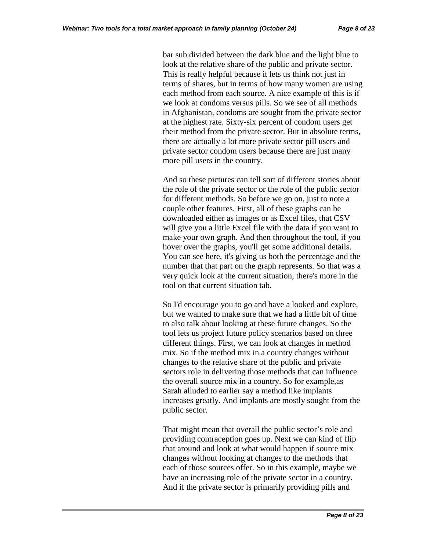bar sub divided between the dark blue and the light blue to look at the relative share of the public and private sector. This is really helpful because it lets us think not just in terms of shares, but in terms of how many women are using each method from each source. A nice example of this is if we look at condoms versus pills. So we see of all methods in Afghanistan, condoms are sought from the private sector at the highest rate. Sixty-six percent of condom users get their method from the private sector. But in absolute terms, there are actually a lot more private sector pill users and private sector condom users because there are just many more pill users in the country.

And so these pictures can tell sort of different stories about the role of the private sector or the role of the public sector for different methods. So before we go on, just to note a couple other features. First, all of these graphs can be downloaded either as images or as Excel files, that CSV will give you a little Excel file with the data if you want to make your own graph. And then throughout the tool, if you hover over the graphs, you'll get some additional details. You can see here, it's giving us both the percentage and the number that that part on the graph represents. So that was a very quick look at the current situation, there's more in the tool on that current situation tab.

So I'd encourage you to go and have a looked and explore, but we wanted to make sure that we had a little bit of time to also talk about looking at these future changes. So the tool lets us project future policy scenarios based on three different things. First, we can look at changes in method mix. So if the method mix in a country changes without changes to the relative share of the public and private sectors role in delivering those methods that can influence the overall source mix in a country. So for example,as Sarah alluded to earlier say a method like implants increases greatly. And implants are mostly sought from the public sector.

That might mean that overall the public sector's role and providing contraception goes up. Next we can kind of flip that around and look at what would happen if source mix changes without looking at changes to the methods that each of those sources offer. So in this example, maybe we have an increasing role of the private sector in a country. And if the private sector is primarily providing pills and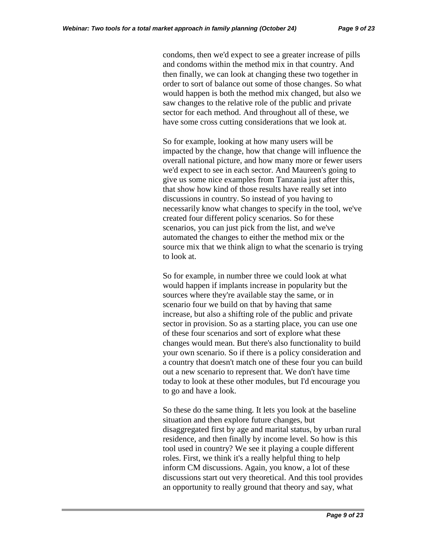condoms, then we'd expect to see a greater increase of pills and condoms within the method mix in that country. And then finally, we can look at changing these two together in order to sort of balance out some of those changes. So what would happen is both the method mix changed, but also we saw changes to the relative role of the public and private sector for each method. And throughout all of these, we have some cross cutting considerations that we look at.

So for example, looking at how many users will be impacted by the change, how that change will influence the overall national picture, and how many more or fewer users we'd expect to see in each sector. And Maureen's going to give us some nice examples from Tanzania just after this, that show how kind of those results have really set into discussions in country. So instead of you having to necessarily know what changes to specify in the tool, we've created four different policy scenarios. So for these scenarios, you can just pick from the list, and we've automated the changes to either the method mix or the source mix that we think align to what the scenario is trying to look at.

So for example, in number three we could look at what would happen if implants increase in popularity but the sources where they're available stay the same, or in scenario four we build on that by having that same increase, but also a shifting role of the public and private sector in provision. So as a starting place, you can use one of these four scenarios and sort of explore what these changes would mean. But there's also functionality to build your own scenario. So if there is a policy consideration and a country that doesn't match one of these four you can build out a new scenario to represent that. We don't have time today to look at these other modules, but I'd encourage you to go and have a look.

So these do the same thing. It lets you look at the baseline situation and then explore future changes, but disaggregated first by age and marital status, by urban rural residence, and then finally by income level. So how is this tool used in country? We see it playing a couple different roles. First, we think it's a really helpful thing to help inform CM discussions. Again, you know, a lot of these discussions start out very theoretical. And this tool provides an opportunity to really ground that theory and say, what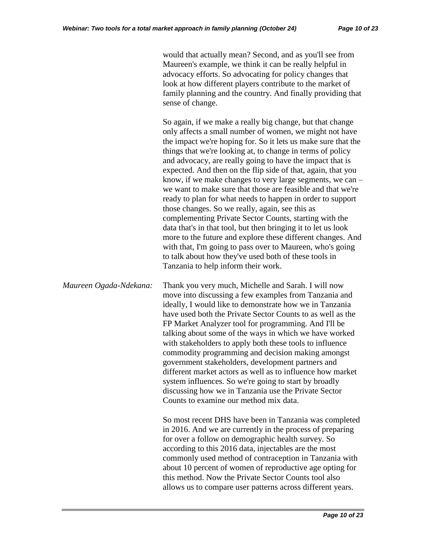would that actually mean? Second, and as you'll see from Maureen's example, we think it can be really helpful in advocacy efforts. So advocating for policy changes that look at how different players contribute to the market of family planning and the country. And finally providing that sense of change.

So again, if we make a really big change, but that change only affects a small number of women, we might not have the impact we're hoping for. So it lets us make sure that the things that we're looking at, to change in terms of policy and advocacy, are really going to have the impact that is expected. And then on the flip side of that, again, that you know, if we make changes to very large segments, we can – we want to make sure that those are feasible and that we're ready to plan for what needs to happen in order to support those changes. So we really, again, see this as complementing Private Sector Counts, starting with the data that's in that tool, but then bringing it to let us look more to the future and explore these different changes. And with that, I'm going to pass over to Maureen, who's going to talk about how they've used both of these tools in Tanzania to help inform their work.

*Maureen Ogada-Ndekana:* Thank you very much, Michelle and Sarah. I will now move into discussing a few examples from Tanzania and ideally, I would like to demonstrate how we in Tanzania have used both the Private Sector Counts to as well as the FP Market Analyzer tool for programming. And I'll be talking about some of the ways in which we have worked with stakeholders to apply both these tools to influence commodity programming and decision making amongst government stakeholders, development partners and different market actors as well as to influence how market system influences. So we're going to start by broadly discussing how we in Tanzania use the Private Sector Counts to examine our method mix data.

> So most recent DHS have been in Tanzania was completed in 2016. And we are currently in the process of preparing for over a follow on demographic health survey. So according to this 2016 data, injectables are the most commonly used method of contraception in Tanzania with about 10 percent of women of reproductive age opting for this method. Now the Private Sector Counts tool also allows us to compare user patterns across different years.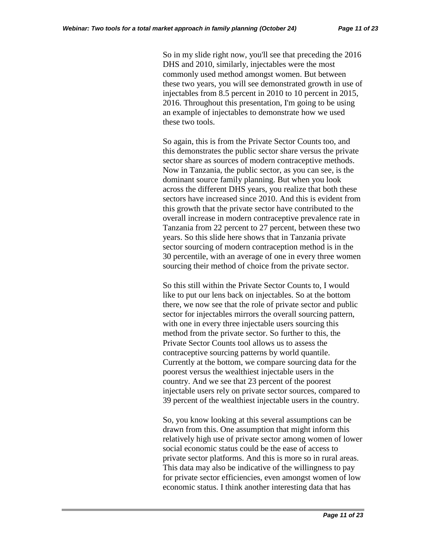So in my slide right now, you'll see that preceding the 2016 DHS and 2010, similarly, injectables were the most commonly used method amongst women. But between these two years, you will see demonstrated growth in use of injectables from 8.5 percent in 2010 to 10 percent in 2015, 2016. Throughout this presentation, I'm going to be using an example of injectables to demonstrate how we used these two tools.

So again, this is from the Private Sector Counts too, and this demonstrates the public sector share versus the private sector share as sources of modern contraceptive methods. Now in Tanzania, the public sector, as you can see, is the dominant source family planning. But when you look across the different DHS years, you realize that both these sectors have increased since 2010. And this is evident from this growth that the private sector have contributed to the overall increase in modern contraceptive prevalence rate in Tanzania from 22 percent to 27 percent, between these two years. So this slide here shows that in Tanzania private sector sourcing of modern contraception method is in the 30 percentile, with an average of one in every three women sourcing their method of choice from the private sector.

So this still within the Private Sector Counts to, I would like to put our lens back on injectables. So at the bottom there, we now see that the role of private sector and public sector for injectables mirrors the overall sourcing pattern, with one in every three injectable users sourcing this method from the private sector. So further to this, the Private Sector Counts tool allows us to assess the contraceptive sourcing patterns by world quantile. Currently at the bottom, we compare sourcing data for the poorest versus the wealthiest injectable users in the country. And we see that 23 percent of the poorest injectable users rely on private sector sources, compared to 39 percent of the wealthiest injectable users in the country.

So, you know looking at this several assumptions can be drawn from this. One assumption that might inform this relatively high use of private sector among women of lower social economic status could be the ease of access to private sector platforms. And this is more so in rural areas. This data may also be indicative of the willingness to pay for private sector efficiencies, even amongst women of low economic status. I think another interesting data that has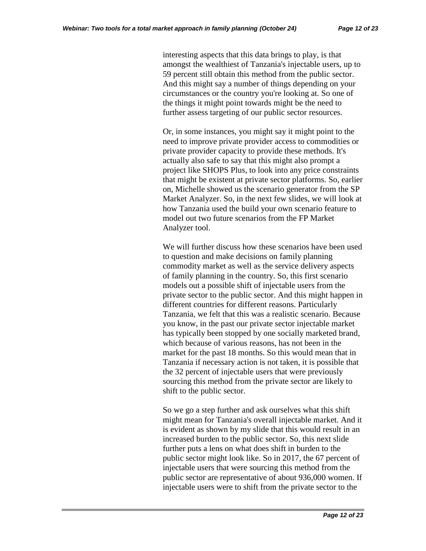interesting aspects that this data brings to play, is that amongst the wealthiest of Tanzania's injectable users, up to 59 percent still obtain this method from the public sector. And this might say a number of things depending on your circumstances or the country you're looking at. So one of the things it might point towards might be the need to further assess targeting of our public sector resources.

Or, in some instances, you might say it might point to the need to improve private provider access to commodities or private provider capacity to provide these methods. It's actually also safe to say that this might also prompt a project like SHOPS Plus, to look into any price constraints that might be existent at private sector platforms. So, earlier on, Michelle showed us the scenario generator from the SP Market Analyzer. So, in the next few slides, we will look at how Tanzania used the build your own scenario feature to model out two future scenarios from the FP Market Analyzer tool.

We will further discuss how these scenarios have been used to question and make decisions on family planning commodity market as well as the service delivery aspects of family planning in the country. So, this first scenario models out a possible shift of injectable users from the private sector to the public sector. And this might happen in different countries for different reasons. Particularly Tanzania, we felt that this was a realistic scenario. Because you know, in the past our private sector injectable market has typically been stopped by one socially marketed brand, which because of various reasons, has not been in the market for the past 18 months. So this would mean that in Tanzania if necessary action is not taken, it is possible that the 32 percent of injectable users that were previously sourcing this method from the private sector are likely to shift to the public sector.

So we go a step further and ask ourselves what this shift might mean for Tanzania's overall injectable market. And it is evident as shown by my slide that this would result in an increased burden to the public sector. So, this next slide further puts a lens on what does shift in burden to the public sector might look like. So in 2017, the 67 percent of injectable users that were sourcing this method from the public sector are representative of about 936,000 women. If injectable users were to shift from the private sector to the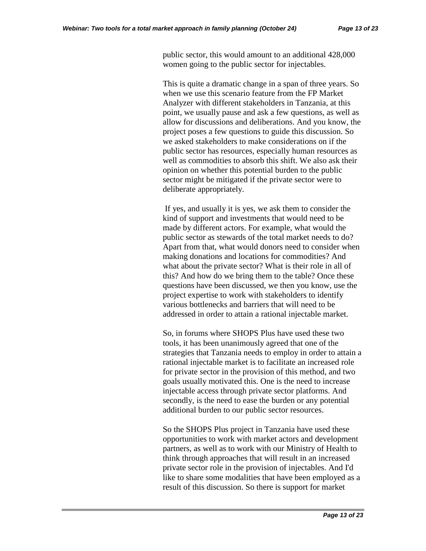public sector, this would amount to an additional 428,000 women going to the public sector for injectables.

This is quite a dramatic change in a span of three years. So when we use this scenario feature from the FP Market Analyzer with different stakeholders in Tanzania, at this point, we usually pause and ask a few questions, as well as allow for discussions and deliberations. And you know, the project poses a few questions to guide this discussion. So we asked stakeholders to make considerations on if the public sector has resources, especially human resources as well as commodities to absorb this shift. We also ask their opinion on whether this potential burden to the public sector might be mitigated if the private sector were to deliberate appropriately.

If yes, and usually it is yes, we ask them to consider the kind of support and investments that would need to be made by different actors. For example, what would the public sector as stewards of the total market needs to do? Apart from that, what would donors need to consider when making donations and locations for commodities? And what about the private sector? What is their role in all of this? And how do we bring them to the table? Once these questions have been discussed, we then you know, use the project expertise to work with stakeholders to identify various bottlenecks and barriers that will need to be addressed in order to attain a rational injectable market.

So, in forums where SHOPS Plus have used these two tools, it has been unanimously agreed that one of the strategies that Tanzania needs to employ in order to attain a rational injectable market is to facilitate an increased role for private sector in the provision of this method, and two goals usually motivated this. One is the need to increase injectable access through private sector platforms. And secondly, is the need to ease the burden or any potential additional burden to our public sector resources.

So the SHOPS Plus project in Tanzania have used these opportunities to work with market actors and development partners, as well as to work with our Ministry of Health to think through approaches that will result in an increased private sector role in the provision of injectables. And I'd like to share some modalities that have been employed as a result of this discussion. So there is support for market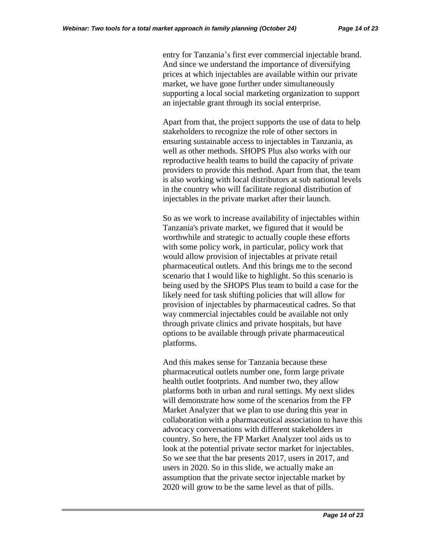entry for Tanzania's first ever commercial injectable brand. And since we understand the importance of diversifying prices at which injectables are available within our private market, we have gone further under simultaneously supporting a local social marketing organization to support an injectable grant through its social enterprise.

Apart from that, the project supports the use of data to help stakeholders to recognize the role of other sectors in ensuring sustainable access to injectables in Tanzania, as well as other methods. SHOPS Plus also works with our reproductive health teams to build the capacity of private providers to provide this method. Apart from that, the team is also working with local distributors at sub national levels in the country who will facilitate regional distribution of injectables in the private market after their launch.

So as we work to increase availability of injectables within Tanzania's private market, we figured that it would be worthwhile and strategic to actually couple these efforts with some policy work, in particular, policy work that would allow provision of injectables at private retail pharmaceutical outlets. And this brings me to the second scenario that I would like to highlight. So this scenario is being used by the SHOPS Plus team to build a case for the likely need for task shifting policies that will allow for provision of injectables by pharmaceutical cadres. So that way commercial injectables could be available not only through private clinics and private hospitals, but have options to be available through private pharmaceutical platforms.

And this makes sense for Tanzania because these pharmaceutical outlets number one, form large private health outlet footprints. And number two, they allow platforms both in urban and rural settings. My next slides will demonstrate how some of the scenarios from the FP Market Analyzer that we plan to use during this year in collaboration with a pharmaceutical association to have this advocacy conversations with different stakeholders in country. So here, the FP Market Analyzer tool aids us to look at the potential private sector market for injectables. So we see that the bar presents 2017, users in 2017, and users in 2020. So in this slide, we actually make an assumption that the private sector injectable market by 2020 will grow to be the same level as that of pills.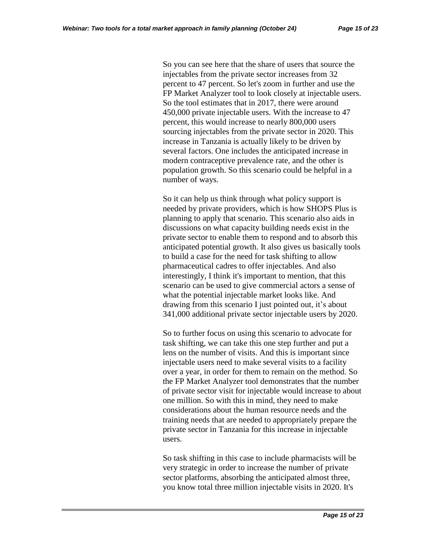So you can see here that the share of users that source the injectables from the private sector increases from 32 percent to 47 percent. So let's zoom in further and use the FP Market Analyzer tool to look closely at injectable users. So the tool estimates that in 2017, there were around 450,000 private injectable users. With the increase to 47 percent, this would increase to nearly 800,000 users sourcing injectables from the private sector in 2020. This increase in Tanzania is actually likely to be driven by several factors. One includes the anticipated increase in modern contraceptive prevalence rate, and the other is population growth. So this scenario could be helpful in a number of ways.

So it can help us think through what policy support is needed by private providers, which is how SHOPS Plus is planning to apply that scenario. This scenario also aids in discussions on what capacity building needs exist in the private sector to enable them to respond and to absorb this anticipated potential growth. It also gives us basically tools to build a case for the need for task shifting to allow pharmaceutical cadres to offer injectables. And also interestingly, I think it's important to mention, that this scenario can be used to give commercial actors a sense of what the potential injectable market looks like. And drawing from this scenario I just pointed out, it's about 341,000 additional private sector injectable users by 2020.

So to further focus on using this scenario to advocate for task shifting, we can take this one step further and put a lens on the number of visits. And this is important since injectable users need to make several visits to a facility over a year, in order for them to remain on the method. So the FP Market Analyzer tool demonstrates that the number of private sector visit for injectable would increase to about one million. So with this in mind, they need to make considerations about the human resource needs and the training needs that are needed to appropriately prepare the private sector in Tanzania for this increase in injectable users.

So task shifting in this case to include pharmacists will be very strategic in order to increase the number of private sector platforms, absorbing the anticipated almost three, you know total three million injectable visits in 2020. It's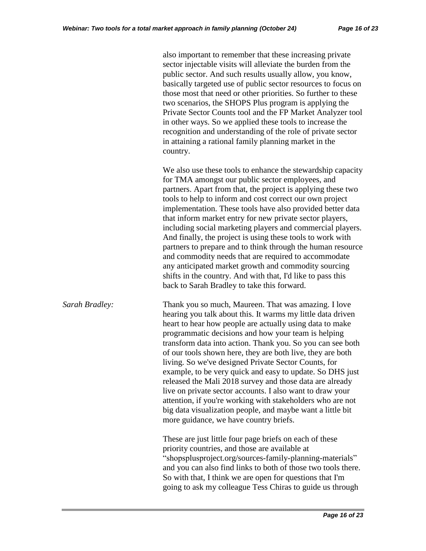also important to remember that these increasing private sector injectable visits will alleviate the burden from the public sector. And such results usually allow, you know, basically targeted use of public sector resources to focus on those most that need or other priorities. So further to these two scenarios, the SHOPS Plus program is applying the Private Sector Counts tool and the FP Market Analyzer tool in other ways. So we applied these tools to increase the recognition and understanding of the role of private sector in attaining a rational family planning market in the country.

We also use these tools to enhance the stewardship capacity for TMA amongst our public sector employees, and partners. Apart from that, the project is applying these two tools to help to inform and cost correct our own project implementation. These tools have also provided better data that inform market entry for new private sector players, including social marketing players and commercial players. And finally, the project is using these tools to work with partners to prepare and to think through the human resource and commodity needs that are required to accommodate any anticipated market growth and commodity sourcing shifts in the country. And with that, I'd like to pass this back to Sarah Bradley to take this forward.

*Sarah Bradley:* Thank you so much, Maureen. That was amazing. I love hearing you talk about this. It warms my little data driven heart to hear how people are actually using data to make programmatic decisions and how your team is helping transform data into action. Thank you. So you can see both of our tools shown here, they are both live, they are both living. So we've designed Private Sector Counts, for example, to be very quick and easy to update. So DHS just released the Mali 2018 survey and those data are already live on private sector accounts. I also want to draw your attention, if you're working with stakeholders who are not big data visualization people, and maybe want a little bit more guidance, we have country briefs.

> These are just little four page briefs on each of these priority countries, and those are available at "shopsplusproject.org/sources-family-planning-materials" and you can also find links to both of those two tools there. So with that, I think we are open for questions that I'm going to ask my colleague Tess Chiras to guide us through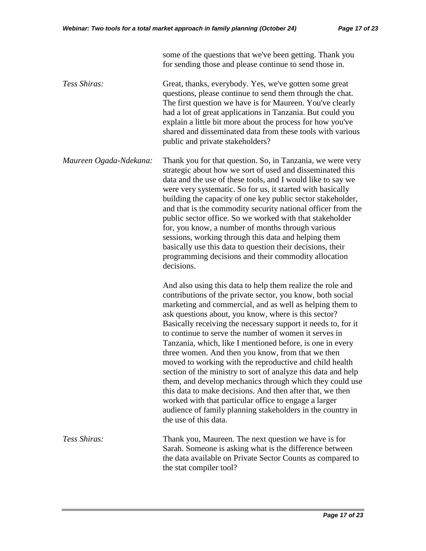some of the questions that we've been getting. Thank you for sending those and please continue to send those in.

*Tess Shiras:* Great, thanks, everybody. Yes, we've gotten some great questions, please continue to send them through the chat. The first question we have is for Maureen. You've clearly had a lot of great applications in Tanzania. But could you explain a little bit more about the process for how you've shared and disseminated data from these tools with various public and private stakeholders?

*Maureen Ogada-Ndekana:* Thank you for that question. So, in Tanzania, we were very strategic about how we sort of used and disseminated this data and the use of these tools, and I would like to say we were very systematic. So for us, it started with basically building the capacity of one key public sector stakeholder, and that is the commodity security national officer from the public sector office. So we worked with that stakeholder for, you know, a number of months through various sessions, working through this data and helping them basically use this data to question their decisions, their programming decisions and their commodity allocation decisions.

> And also using this data to help them realize the role and contributions of the private sector, you know, both social marketing and commercial, and as well as helping them to ask questions about, you know, where is this sector? Basically receiving the necessary support it needs to, for it to continue to serve the number of women it serves in Tanzania, which, like I mentioned before, is one in every three women. And then you know, from that we then moved to working with the reproductive and child health section of the ministry to sort of analyze this data and help them, and develop mechanics through which they could use this data to make decisions. And then after that, we then worked with that particular office to engage a larger audience of family planning stakeholders in the country in the use of this data.

*Tess Shiras:* Thank you, Maureen. The next question we have is for Sarah. Someone is asking what is the difference between the data available on Private Sector Counts as compared to the stat compiler tool?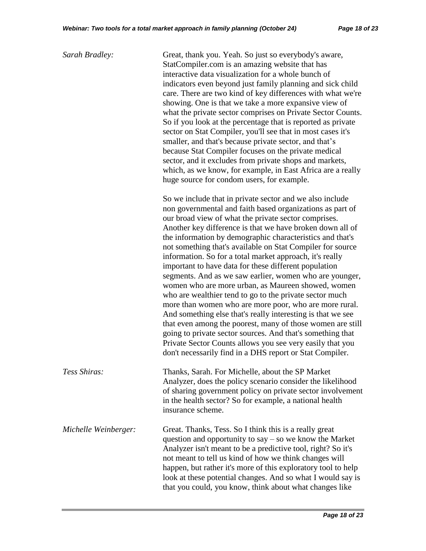| Sarah Bradley:       | Great, thank you. Yeah. So just so everybody's aware,<br>StatCompiler.com is an amazing website that has<br>interactive data visualization for a whole bunch of<br>indicators even beyond just family planning and sick child<br>care. There are two kind of key differences with what we're<br>showing. One is that we take a more expansive view of<br>what the private sector comprises on Private Sector Counts.<br>So if you look at the percentage that is reported as private<br>sector on Stat Compiler, you'll see that in most cases it's<br>smaller, and that's because private sector, and that's<br>because Stat Compiler focuses on the private medical<br>sector, and it excludes from private shops and markets,<br>which, as we know, for example, in East Africa are a really<br>huge source for condom users, for example.                                                                                                                                                                                                        |
|----------------------|------------------------------------------------------------------------------------------------------------------------------------------------------------------------------------------------------------------------------------------------------------------------------------------------------------------------------------------------------------------------------------------------------------------------------------------------------------------------------------------------------------------------------------------------------------------------------------------------------------------------------------------------------------------------------------------------------------------------------------------------------------------------------------------------------------------------------------------------------------------------------------------------------------------------------------------------------------------------------------------------------------------------------------------------------|
|                      | So we include that in private sector and we also include<br>non governmental and faith based organizations as part of<br>our broad view of what the private sector comprises.<br>Another key difference is that we have broken down all of<br>the information by demographic characteristics and that's<br>not something that's available on Stat Compiler for source<br>information. So for a total market approach, it's really<br>important to have data for these different population<br>segments. And as we saw earlier, women who are younger,<br>women who are more urban, as Maureen showed, women<br>who are wealthier tend to go to the private sector much<br>more than women who are more poor, who are more rural.<br>And something else that's really interesting is that we see<br>that even among the poorest, many of those women are still<br>going to private sector sources. And that's something that<br>Private Sector Counts allows you see very easily that you<br>don't necessarily find in a DHS report or Stat Compiler. |
| Tess Shiras:         | Thanks, Sarah. For Michelle, about the SP Market<br>Analyzer, does the policy scenario consider the likelihood<br>of sharing government policy on private sector involvement<br>in the health sector? So for example, a national health<br>insurance scheme.                                                                                                                                                                                                                                                                                                                                                                                                                                                                                                                                                                                                                                                                                                                                                                                         |
| Michelle Weinberger: | Great. Thanks, Tess. So I think this is a really great<br>question and opportunity to say $-$ so we know the Market<br>Analyzer isn't meant to be a predictive tool, right? So it's<br>not meant to tell us kind of how we think changes will<br>happen, but rather it's more of this exploratory tool to help<br>look at these potential changes. And so what I would say is<br>that you could, you know, think about what changes like                                                                                                                                                                                                                                                                                                                                                                                                                                                                                                                                                                                                             |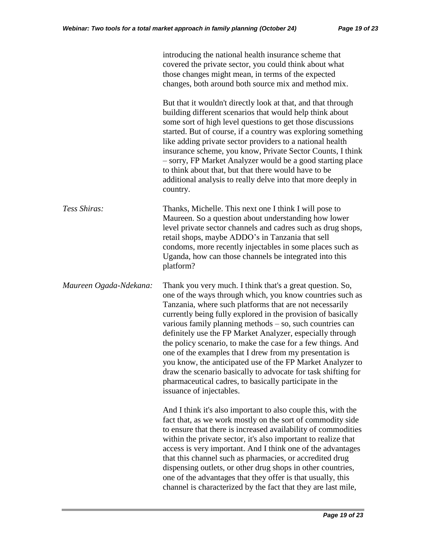|                        | introducing the national health insurance scheme that<br>covered the private sector, you could think about what<br>those changes might mean, in terms of the expected<br>changes, both around both source mix and method mix.                                                                                                                                                                                                                                                                                                                                                                                                                                                                                             |
|------------------------|---------------------------------------------------------------------------------------------------------------------------------------------------------------------------------------------------------------------------------------------------------------------------------------------------------------------------------------------------------------------------------------------------------------------------------------------------------------------------------------------------------------------------------------------------------------------------------------------------------------------------------------------------------------------------------------------------------------------------|
|                        | But that it wouldn't directly look at that, and that through<br>building different scenarios that would help think about<br>some sort of high level questions to get those discussions<br>started. But of course, if a country was exploring something<br>like adding private sector providers to a national health<br>insurance scheme, you know, Private Sector Counts, I think<br>- sorry, FP Market Analyzer would be a good starting place<br>to think about that, but that there would have to be<br>additional analysis to really delve into that more deeply in<br>country.                                                                                                                                       |
| Tess Shiras:           | Thanks, Michelle. This next one I think I will pose to<br>Maureen. So a question about understanding how lower<br>level private sector channels and cadres such as drug shops,<br>retail shops, maybe ADDO's in Tanzania that sell<br>condoms, more recently injectables in some places such as<br>Uganda, how can those channels be integrated into this<br>platform?                                                                                                                                                                                                                                                                                                                                                    |
| Maureen Ogada-Ndekana: | Thank you very much. I think that's a great question. So,<br>one of the ways through which, you know countries such as<br>Tanzania, where such platforms that are not necessarily<br>currently being fully explored in the provision of basically<br>various family planning methods - so, such countries can<br>definitely use the FP Market Analyzer, especially through<br>the policy scenario, to make the case for a few things. And<br>one of the examples that I drew from my presentation is<br>you know, the anticipated use of the FP Market Analyzer to<br>draw the scenario basically to advocate for task shifting for<br>pharmaceutical cadres, to basically participate in the<br>issuance of injectables. |
|                        | And I think it's also important to also couple this, with the<br>fact that, as we work mostly on the sort of commodity side<br>to ensure that there is increased availability of commodities<br>within the private sector, it's also important to realize that<br>access is very important. And I think one of the advantages<br>that this channel such as pharmacies, or accredited drug<br>dispensing outlets, or other drug shops in other countries,<br>one of the advantages that they offer is that usually, this<br>channel is characterized by the fact that they are last mile,                                                                                                                                  |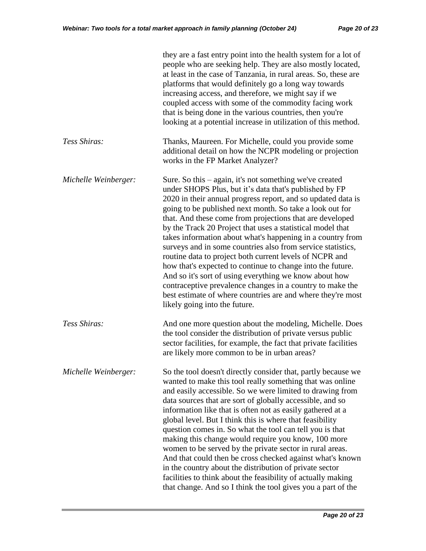|                      | they are a fast entry point into the health system for a lot of<br>people who are seeking help. They are also mostly located,<br>at least in the case of Tanzania, in rural areas. So, these are<br>platforms that would definitely go a long way towards<br>increasing access, and therefore, we might say if we<br>coupled access with some of the commodity facing work<br>that is being done in the various countries, then you're<br>looking at a potential increase in utilization of this method.                                                                                                                                                                                                                                                                                                                                               |
|----------------------|--------------------------------------------------------------------------------------------------------------------------------------------------------------------------------------------------------------------------------------------------------------------------------------------------------------------------------------------------------------------------------------------------------------------------------------------------------------------------------------------------------------------------------------------------------------------------------------------------------------------------------------------------------------------------------------------------------------------------------------------------------------------------------------------------------------------------------------------------------|
| Tess Shiras:         | Thanks, Maureen. For Michelle, could you provide some<br>additional detail on how the NCPR modeling or projection<br>works in the FP Market Analyzer?                                                                                                                                                                                                                                                                                                                                                                                                                                                                                                                                                                                                                                                                                                  |
| Michelle Weinberger: | Sure. So this $-$ again, it's not something we've created<br>under SHOPS Plus, but it's data that's published by FP<br>2020 in their annual progress report, and so updated data is<br>going to be published next month. So take a look out for<br>that. And these come from projections that are developed<br>by the Track 20 Project that uses a statistical model that<br>takes information about what's happening in a country from<br>surveys and in some countries also from service statistics,<br>routine data to project both current levels of NCPR and<br>how that's expected to continue to change into the future.<br>And so it's sort of using everything we know about how<br>contraceptive prevalence changes in a country to make the<br>best estimate of where countries are and where they're most<br>likely going into the future. |
| Tess Shiras:         | And one more question about the modeling, Michelle. Does<br>the tool consider the distribution of private versus public<br>sector facilities, for example, the fact that private facilities<br>are likely more common to be in urban areas?                                                                                                                                                                                                                                                                                                                                                                                                                                                                                                                                                                                                            |
| Michelle Weinberger: | So the tool doesn't directly consider that, partly because we<br>wanted to make this tool really something that was online<br>and easily accessible. So we were limited to drawing from<br>data sources that are sort of globally accessible, and so<br>information like that is often not as easily gathered at a<br>global level. But I think this is where that feasibility<br>question comes in. So what the tool can tell you is that<br>making this change would require you know, 100 more<br>women to be served by the private sector in rural areas.<br>And that could then be cross checked against what's known<br>in the country about the distribution of private sector<br>facilities to think about the feasibility of actually making<br>that change. And so I think the tool gives you a part of the                                  |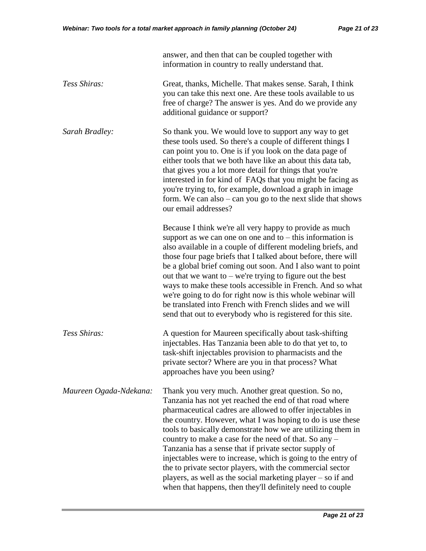|                        | answer, and then that can be coupled together with<br>information in country to really understand that.                                                                                                                                                                                                                                                                                                                                                                                                                                                                                                                                                                               |
|------------------------|---------------------------------------------------------------------------------------------------------------------------------------------------------------------------------------------------------------------------------------------------------------------------------------------------------------------------------------------------------------------------------------------------------------------------------------------------------------------------------------------------------------------------------------------------------------------------------------------------------------------------------------------------------------------------------------|
| Tess Shiras:           | Great, thanks, Michelle. That makes sense. Sarah, I think<br>you can take this next one. Are these tools available to us<br>free of charge? The answer is yes. And do we provide any<br>additional guidance or support?                                                                                                                                                                                                                                                                                                                                                                                                                                                               |
| Sarah Bradley:         | So thank you. We would love to support any way to get<br>these tools used. So there's a couple of different things I<br>can point you to. One is if you look on the data page of<br>either tools that we both have like an about this data tab,<br>that gives you a lot more detail for things that you're<br>interested in for kind of FAQs that you might be facing as<br>you're trying to, for example, download a graph in image<br>form. We can also $-\text{can you go to the next slide that shows}$<br>our email addresses?                                                                                                                                                   |
|                        | Because I think we're all very happy to provide as much<br>support as we can one on one and to $-$ this information is<br>also available in a couple of different modeling briefs, and<br>those four page briefs that I talked about before, there will<br>be a global brief coming out soon. And I also want to point<br>out that we want to – we're trying to figure out the best<br>ways to make these tools accessible in French. And so what<br>we're going to do for right now is this whole webinar will<br>be translated into French with French slides and we will<br>send that out to everybody who is registered for this site.                                            |
| Tess Shiras:           | A question for Maureen specifically about task-shifting<br>injectables. Has Tanzania been able to do that yet to, to<br>task-shift injectables provision to pharmacists and the<br>private sector? Where are you in that process? What<br>approaches have you been using?                                                                                                                                                                                                                                                                                                                                                                                                             |
| Maureen Ogada-Ndekana: | Thank you very much. Another great question. So no,<br>Tanzania has not yet reached the end of that road where<br>pharmaceutical cadres are allowed to offer injectables in<br>the country. However, what I was hoping to do is use these<br>tools to basically demonstrate how we are utilizing them in<br>country to make a case for the need of that. So any -<br>Tanzania has a sense that if private sector supply of<br>injectables were to increase, which is going to the entry of<br>the to private sector players, with the commercial sector<br>players, as well as the social marketing player $-$ so if and<br>when that happens, then they'll definitely need to couple |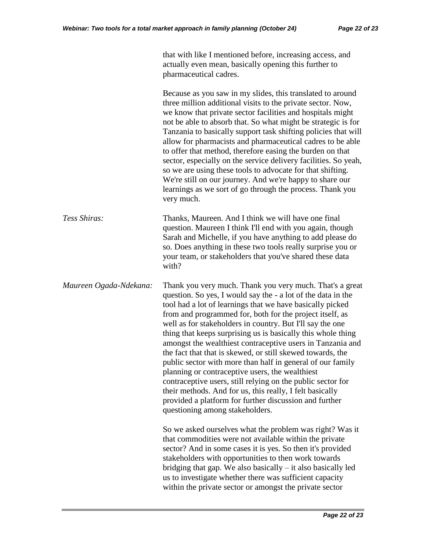|                        | that with like I mentioned before, increasing access, and<br>actually even mean, basically opening this further to<br>pharmaceutical cadres.                                                                                                                                                                                                                                                                                                                                                                                                                                                                                                                                                                                                                                                                                                        |
|------------------------|-----------------------------------------------------------------------------------------------------------------------------------------------------------------------------------------------------------------------------------------------------------------------------------------------------------------------------------------------------------------------------------------------------------------------------------------------------------------------------------------------------------------------------------------------------------------------------------------------------------------------------------------------------------------------------------------------------------------------------------------------------------------------------------------------------------------------------------------------------|
|                        | Because as you saw in my slides, this translated to around<br>three million additional visits to the private sector. Now,<br>we know that private sector facilities and hospitals might<br>not be able to absorb that. So what might be strategic is for<br>Tanzania to basically support task shifting policies that will<br>allow for pharmacists and pharmaceutical cadres to be able<br>to offer that method, therefore easing the burden on that<br>sector, especially on the service delivery facilities. So yeah,<br>so we are using these tools to advocate for that shifting.<br>We're still on our journey. And we're happy to share our<br>learnings as we sort of go through the process. Thank you<br>very much.                                                                                                                       |
| Tess Shiras:           | Thanks, Maureen. And I think we will have one final<br>question. Maureen I think I'll end with you again, though<br>Sarah and Michelle, if you have anything to add please do<br>so. Does anything in these two tools really surprise you or<br>your team, or stakeholders that you've shared these data<br>with?                                                                                                                                                                                                                                                                                                                                                                                                                                                                                                                                   |
| Maureen Ogada-Ndekana: | Thank you very much. Thank you very much. That's a great<br>question. So yes, I would say the - a lot of the data in the<br>tool had a lot of learnings that we have basically picked<br>from and programmed for, both for the project itself, as<br>well as for stakeholders in country. But I'll say the one<br>thing that keeps surprising us is basically this whole thing<br>amongst the wealthiest contraceptive users in Tanzania and<br>the fact that that is skewed, or still skewed towards, the<br>public sector with more than half in general of our family<br>planning or contraceptive users, the wealthiest<br>contraceptive users, still relying on the public sector for<br>their methods. And for us, this really, I felt basically<br>provided a platform for further discussion and further<br>questioning among stakeholders. |
|                        | So we asked ourselves what the problem was right? Was it<br>that commodities were not available within the private<br>sector? And in some cases it is yes. So then it's provided<br>stakeholders with opportunities to then work towards<br>bridging that gap. We also basically $-$ it also basically led<br>us to investigate whether there was sufficient capacity<br>within the private sector or amongst the private sector                                                                                                                                                                                                                                                                                                                                                                                                                    |